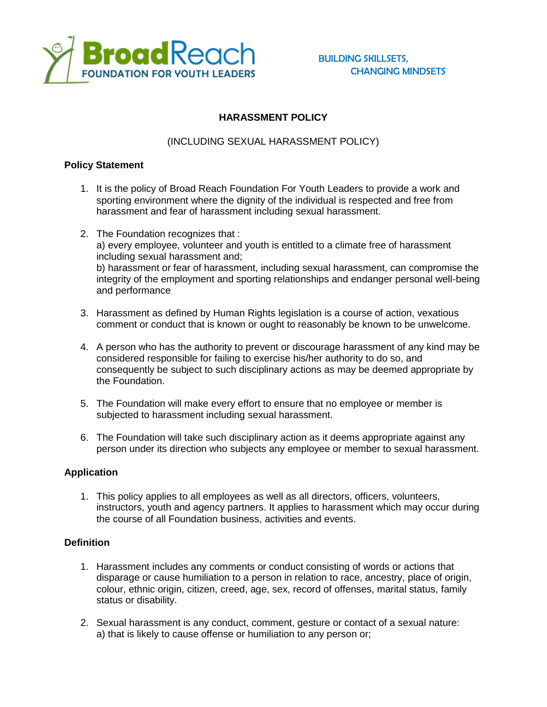

# **HARASSMENT POLICY**

### (INCLUDING SEXUAL HARASSMENT POLICY)

### **Policy Statement**

- 1. It is the policy of Broad Reach Foundation For Youth Leaders to provide a work and sporting environment where the dignity of the individual is respected and free from harassment and fear of harassment including sexual harassment.
- 2. The Foundation recognizes that : a) every employee, volunteer and youth is entitled to a climate free of harassment including sexual harassment and; b) harassment or fear of harassment, including sexual harassment, can compromise the integrity of the employment and sporting relationships and endanger personal well-being and performance
- 3. Harassment as defined by Human Rights legislation is a course of action, vexatious comment or conduct that is known or ought to reasonably be known to be unwelcome.
- 4. A person who has the authority to prevent or discourage harassment of any kind may be considered responsible for failing to exercise his/her authority to do so, and consequently be subject to such disciplinary actions as may be deemed appropriate by the Foundation.
- 5. The Foundation will make every effort to ensure that no employee or member is subjected to harassment including sexual harassment.
- 6. The Foundation will take such disciplinary action as it deems appropriate against any person under its direction who subjects any employee or member to sexual harassment.

### **Application**

1. This policy applies to all employees as well as all directors, officers, volunteers, instructors, youth and agency partners. It applies to harassment which may occur during the course of all Foundation business, activities and events.

### **Definition**

- 1. Harassment includes any comments or conduct consisting of words or actions that disparage or cause humiliation to a person in relation to race, ancestry, place of origin, colour, ethnic origin, citizen, creed, age, sex, record of offenses, marital status, family status or disability.
- 2. Sexual harassment is any conduct, comment, gesture or contact of a sexual nature: a) that is likely to cause offense or humiliation to any person or;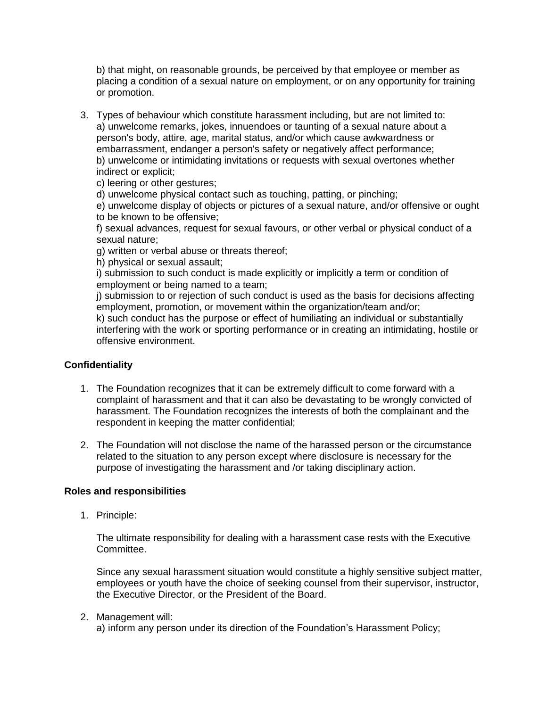b) that might, on reasonable grounds, be perceived by that employee or member as placing a condition of a sexual nature on employment, or on any opportunity for training or promotion.

3. Types of behaviour which constitute harassment including, but are not limited to: a) unwelcome remarks, jokes, innuendoes or taunting of a sexual nature about a person's body, attire, age, marital status, and/or which cause awkwardness or embarrassment, endanger a person's safety or negatively affect performance; b) unwelcome or intimidating invitations or requests with sexual overtones whether indirect or explicit;

c) leering or other gestures;

d) unwelcome physical contact such as touching, patting, or pinching;

e) unwelcome display of objects or pictures of a sexual nature, and/or offensive or ought to be known to be offensive;

f) sexual advances, request for sexual favours, or other verbal or physical conduct of a sexual nature;

g) written or verbal abuse or threats thereof;

h) physical or sexual assault;

i) submission to such conduct is made explicitly or implicitly a term or condition of employment or being named to a team;

j) submission to or rejection of such conduct is used as the basis for decisions affecting employment, promotion, or movement within the organization/team and/or;

k) such conduct has the purpose or effect of humiliating an individual or substantially interfering with the work or sporting performance or in creating an intimidating, hostile or offensive environment.

## **Confidentiality**

- 1. The Foundation recognizes that it can be extremely difficult to come forward with a complaint of harassment and that it can also be devastating to be wrongly convicted of harassment. The Foundation recognizes the interests of both the complainant and the respondent in keeping the matter confidential;
- 2. The Foundation will not disclose the name of the harassed person or the circumstance related to the situation to any person except where disclosure is necessary for the purpose of investigating the harassment and /or taking disciplinary action.

### **Roles and responsibilities**

1. Principle:

The ultimate responsibility for dealing with a harassment case rests with the Executive Committee.

Since any sexual harassment situation would constitute a highly sensitive subject matter, employees or youth have the choice of seeking counsel from their supervisor, instructor, the Executive Director, or the President of the Board.

#### 2. Management will:

a) inform any person under its direction of the Foundation's Harassment Policy;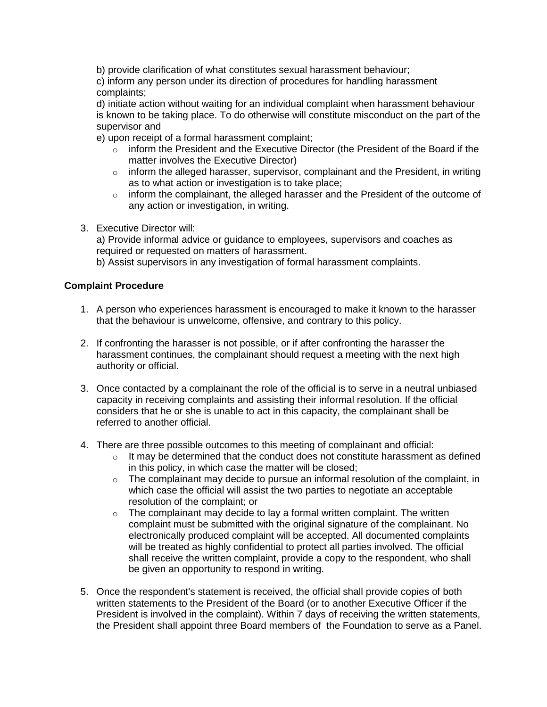b) provide clarification of what constitutes sexual harassment behaviour;

c) inform any person under its direction of procedures for handling harassment complaints;

d) initiate action without waiting for an individual complaint when harassment behaviour is known to be taking place. To do otherwise will constitute misconduct on the part of the supervisor and

e) upon receipt of a formal harassment complaint;

- $\circ$  inform the President and the Executive Director (the President of the Board if the matter involves the Executive Director)
- $\circ$  inform the alleged harasser, supervisor, complainant and the President, in writing as to what action or investigation is to take place;
- $\circ$  inform the complainant, the alleged harasser and the President of the outcome of any action or investigation, in writing.
- 3. Executive Director will:

a) Provide informal advice or guidance to employees, supervisors and coaches as required or requested on matters of harassment.

b) Assist supervisors in any investigation of formal harassment complaints.

#### **Complaint Procedure**

- 1. A person who experiences harassment is encouraged to make it known to the harasser that the behaviour is unwelcome, offensive, and contrary to this policy.
- 2. If confronting the harasser is not possible, or if after confronting the harasser the harassment continues, the complainant should request a meeting with the next high authority or official.
- 3. Once contacted by a complainant the role of the official is to serve in a neutral unbiased capacity in receiving complaints and assisting their informal resolution. If the official considers that he or she is unable to act in this capacity, the complainant shall be referred to another official.
- 4. There are three possible outcomes to this meeting of complainant and official:
	- $\circ$  It may be determined that the conduct does not constitute harassment as defined in this policy, in which case the matter will be closed;
	- o The complainant may decide to pursue an informal resolution of the complaint, in which case the official will assist the two parties to negotiate an acceptable resolution of the complaint; or
	- $\circ$  The complainant may decide to lay a formal written complaint. The written complaint must be submitted with the original signature of the complainant. No electronically produced complaint will be accepted. All documented complaints will be treated as highly confidential to protect all parties involved. The official shall receive the written complaint, provide a copy to the respondent, who shall be given an opportunity to respond in writing.
- 5. Once the respondent's statement is received, the official shall provide copies of both written statements to the President of the Board (or to another Executive Officer if the President is involved in the complaint). Within 7 days of receiving the written statements, the President shall appoint three Board members of the Foundation to serve as a Panel.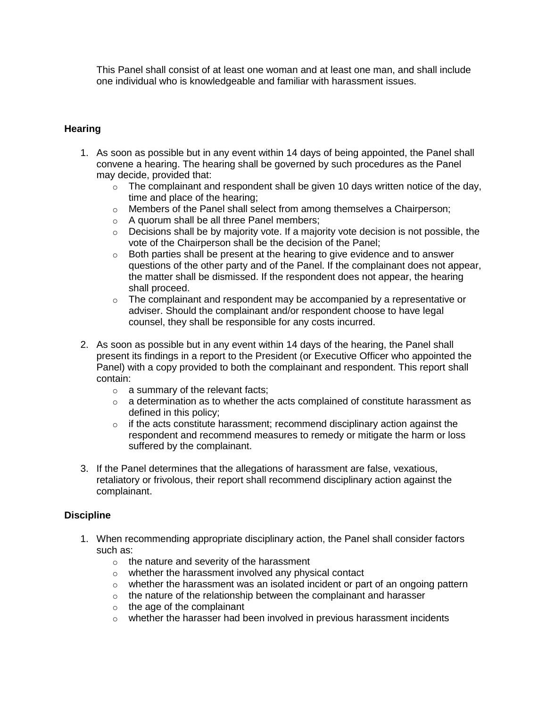This Panel shall consist of at least one woman and at least one man, and shall include one individual who is knowledgeable and familiar with harassment issues.

### **Hearing**

- 1. As soon as possible but in any event within 14 days of being appointed, the Panel shall convene a hearing. The hearing shall be governed by such procedures as the Panel may decide, provided that:
	- $\circ$  The complainant and respondent shall be given 10 days written notice of the day, time and place of the hearing;
	- $\circ$  Members of the Panel shall select from among themselves a Chairperson;
	- o A quorum shall be all three Panel members;
	- $\circ$  Decisions shall be by majority vote. If a majority vote decision is not possible, the vote of the Chairperson shall be the decision of the Panel;
	- $\circ$  Both parties shall be present at the hearing to give evidence and to answer questions of the other party and of the Panel. If the complainant does not appear, the matter shall be dismissed. If the respondent does not appear, the hearing shall proceed.
	- $\circ$  The complainant and respondent may be accompanied by a representative or adviser. Should the complainant and/or respondent choose to have legal counsel, they shall be responsible for any costs incurred.
- 2. As soon as possible but in any event within 14 days of the hearing, the Panel shall present its findings in a report to the President (or Executive Officer who appointed the Panel) with a copy provided to both the complainant and respondent. This report shall contain:
	- o a summary of the relevant facts;
	- $\circ$  a determination as to whether the acts complained of constitute harassment as defined in this policy;
	- $\circ$  if the acts constitute harassment; recommend disciplinary action against the respondent and recommend measures to remedy or mitigate the harm or loss suffered by the complainant.
- 3. If the Panel determines that the allegations of harassment are false, vexatious, retaliatory or frivolous, their report shall recommend disciplinary action against the complainant.

### **Discipline**

- 1. When recommending appropriate disciplinary action, the Panel shall consider factors such as:
	- $\circ$  the nature and severity of the harassment
	- o whether the harassment involved any physical contact
	- o whether the harassment was an isolated incident or part of an ongoing pattern
	- $\circ$  the nature of the relationship between the complainant and harasser
	- o the age of the complainant
	- o whether the harasser had been involved in previous harassment incidents